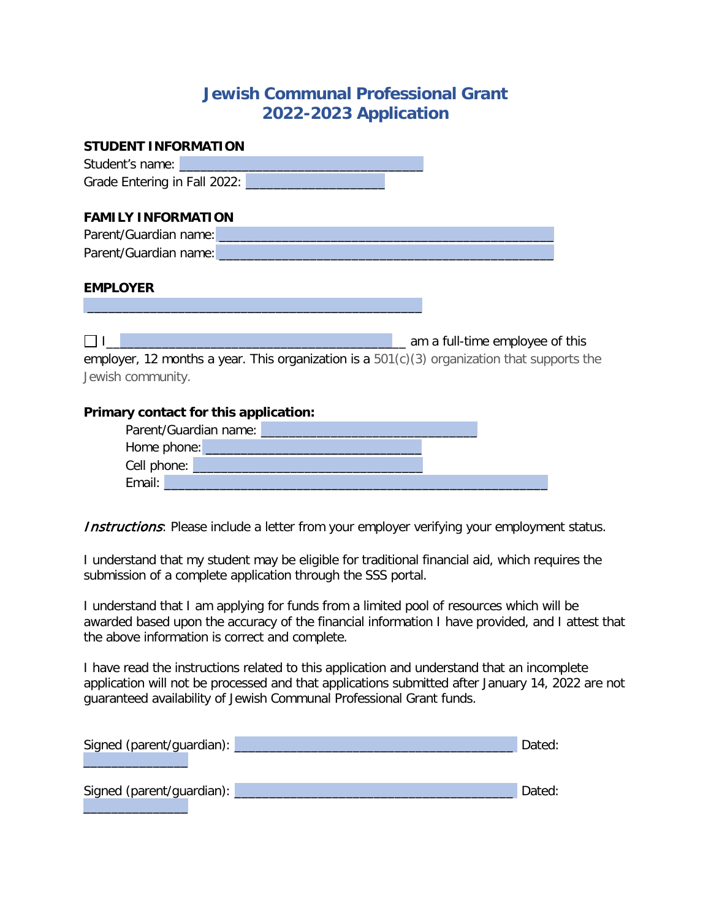## **Jewish Communal Professional Grant 2022-2023 Application**

| STUDENT INFORMATION                                                                                                                              |
|--------------------------------------------------------------------------------------------------------------------------------------------------|
| Student's name:                                                                                                                                  |
| Grade Entering in Fall 2022:                                                                                                                     |
|                                                                                                                                                  |
| <b>FAMILY INFORMATION</b>                                                                                                                        |
| Parent/Guardian name: Name and Contract of the Contract of the Contract of the Contract of the Contract of the                                   |
| Parent/Guardian name: _<br><u> 1980 - Jan Sterling Sterling av den stad for de første stad for de første stad for de første stad for de førs</u> |
|                                                                                                                                                  |
| <b>EMPLOYER</b>                                                                                                                                  |
|                                                                                                                                                  |
|                                                                                                                                                  |
| _ am a full-time employee of this                                                                                                                |
| employer, 12 months a year. This organization is a $501(c)(3)$ organization that supports the                                                    |
| Jewish community.                                                                                                                                |
|                                                                                                                                                  |
| Primary contact for this application:                                                                                                            |
| Parent/Guardian name: Name and Contract of the Contract of the Contract of the Contract of the Contract of the                                   |
|                                                                                                                                                  |
| Cell phone:                                                                                                                                      |
| Email:                                                                                                                                           |

**Instructions**: Please include a letter from your employer verifying your employment status.

I understand that my student may be eligible for traditional financial aid, which requires the submission of a complete application through the SSS portal.

I understand that I am applying for funds from a limited pool of resources which will be awarded based upon the accuracy of the financial information I have provided, and I attest that the above information is correct and complete.

I have read the instructions related to this application and understand that an incomplete application will not be processed and that applications submitted after January 14, 2022 are not guaranteed availability of Jewish Communal Professional Grant funds.

| Signed (parent/guardian): | Dated: |
|---------------------------|--------|
|                           |        |
|                           |        |
| Signed (parent/guardian): | Dated: |